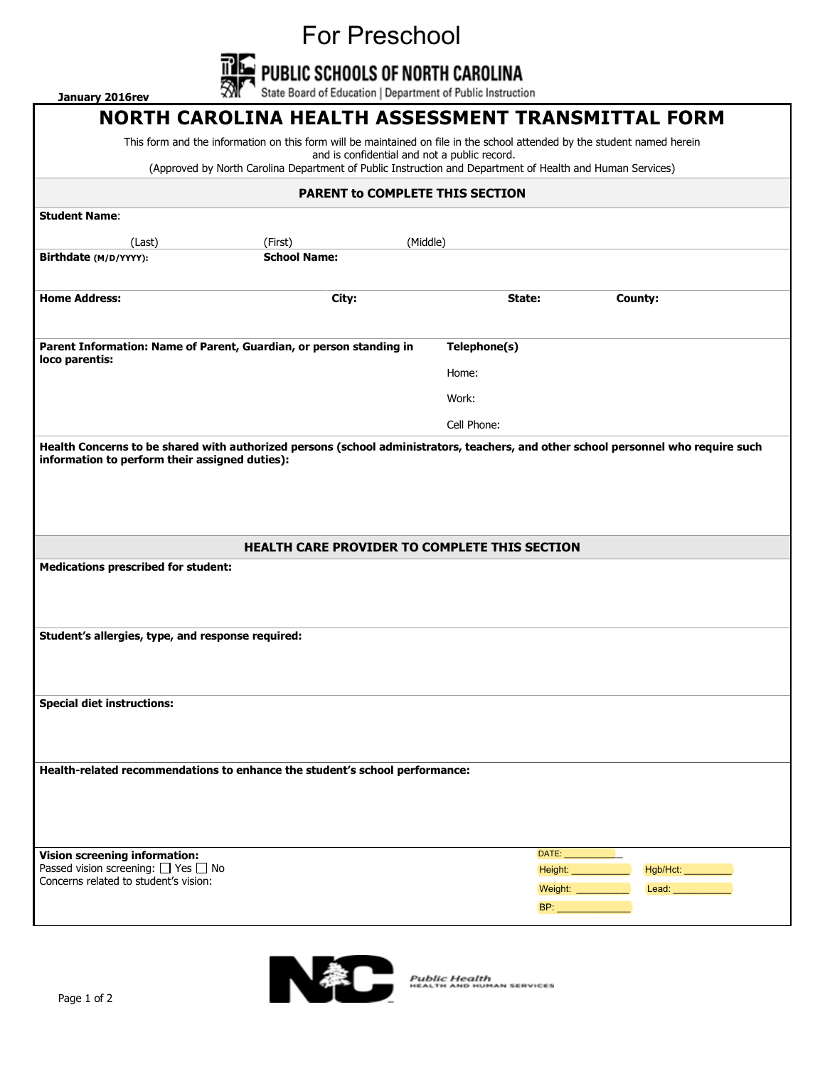For Preschool<br>PUBLIC SCHOOLS OF NORTH CAROLINA<br>State Board of Education | Department of Public Instruction



**January 2016rev** 

## **NORTH CAROLINA HEALTH ASSESSMENT TRANSMITTAL FORM**

This form and the information on this form will be maintained on file in the school attended by the student named herein and is confidential and not a public record.

(Approved by North Carolina Department of Public Instruction and Department of Health and Human Services)

## **PARENT to COMPLETE THIS SECTION Student Name**: (Last) (First) (Middle) **Birthdate (M/D/YYYY): School Name: Home Address: City: City: State: County: County: County: State: County: COUNTY: COUNTY: COUNTY: COUNTY: COUNTY: COUNTY: COUNTY: COUNTY: COUNTY: COUNTY: COUNTY: COUNTY: COUNTY: C Parent Information: Name of Parent, Guardian, or person standing in loco parentis: Telephone(s)** Home: Work: Cell Phone: **Health Concerns to be shared with authorized persons (school administrators, teachers, and other school personnel who require such information to perform their assigned duties): HEALTH CARE PROVIDER TO COMPLETE THIS SECTION Medications prescribed for student: Student's allergies, type, and response required: Special diet instructions:**

**Health-related recommendations to enhance the student's school performance:**

**Vision screening information:** Passed vision screening:  $\Box$  Yes  $\Box$  No Concerns related to student's vision:





Public Health<br>HEALTH AND HUMAN SERVICES